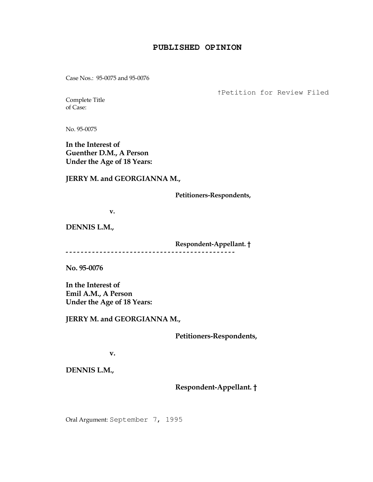## **PUBLISHED OPINION**

Case Nos.: 95-0075 and 95-0076

†Petition for Review Filed

Complete Title of Case:

No. 95-0075

In the Interest of Guenther D.M., A Person Under the Age of 18 Years:

JERRY M. and GEORGIANNA M.,

Petitioners-Respondents,

v.

DENNIS L.M.,

 Respondent-Appellant. † - - - - - - - - - - - - - - - - - - - - - - - - - - - - - - - - - - - - - - - - - - - - -

No. 95-0076

In the Interest of Emil A.M., A Person Under the Age of 18 Years:

JERRY M. and GEORGIANNA M.,

Petitioners-Respondents,

v.

DENNIS L.M.,

Respondent-Appellant. †

Oral Argument: September 7, 1995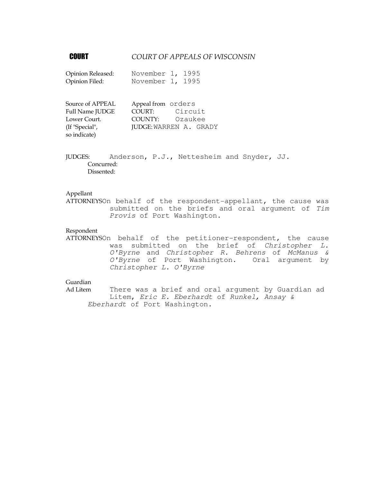# **COURT COURT OF APPEALS OF WISCONSIN**

| Opinion Released: | November 1, 1995 |  |
|-------------------|------------------|--|
| Opinion Filed:    | November 1, 1995 |  |

| Source of APPEAL       | Appeal from orders |                               |
|------------------------|--------------------|-------------------------------|
| <b>Full Name JUDGE</b> | COURT:             | Circuit                       |
| Lower Court.           | COUNTY:            | Ozaukee                       |
| (If "Special",         |                    | <b>JUDGE: WARREN A. GRADY</b> |
| so indicate)           |                    |                               |

JUDGES: Anderson, P.J., Nettesheim and Snyder, JJ. Concurred: Dissented:

### Appellant

ATTORNEYSOn behalf of the respondent-appellant, the cause was submitted on the briefs and oral argument of Tim Provis of Port Washington.

### Respondent

ATTORNEYSOn behalf of the petitioner-respondent, the cause was submitted on the brief of Christopher L. O'Byrne and Christopher R. Behrens of McManus & O'Byrne of Port Washington. Oral argument by Christopher L. O'Byrne

# Guardian

Ad Litem There was a brief and oral argument by Guardian ad Litem, Eric E. Eberhardt of Runkel, Ansay & Eberhardt of Port Washington.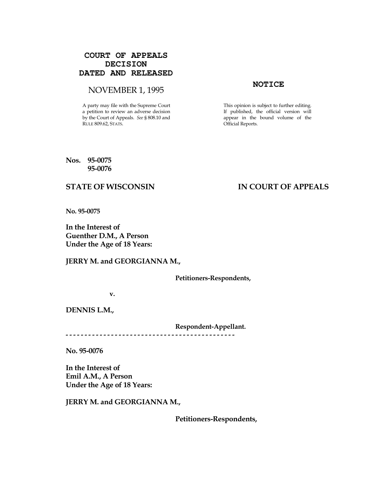# **COURT OF APPEALS DECISION DATED AND RELEASED**

# NOVEMBER 1, 1995<br>
NOTICE

A party may file with the Supreme Court a petition to review an adverse decision by the Court of Appeals. See § 808.10 and RULE 809.62, STATS.

This opinion is subject to further editing. If published, the official version will appear in the bound volume of the Official Reports.

### Nos. 95-0075 95-0076

# STATE OF WISCONSIN IN COURT OF APPEALS

No. 95-0075

In the Interest of Guenther D.M., A Person Under the Age of 18 Years:

JERRY M. and GEORGIANNA M.,

Petitioners-Respondents,

v.

DENNIS L.M.,

Respondent-Appellant.

No. 95-0076

In the Interest of Emil A.M., A Person Under the Age of 18 Years:

JERRY M. and GEORGIANNA M.,

- - - - - - - - - - - - - - - - - - - - - - - - - - - - - - - - - - - - - - - - - - - - -

Petitioners-Respondents,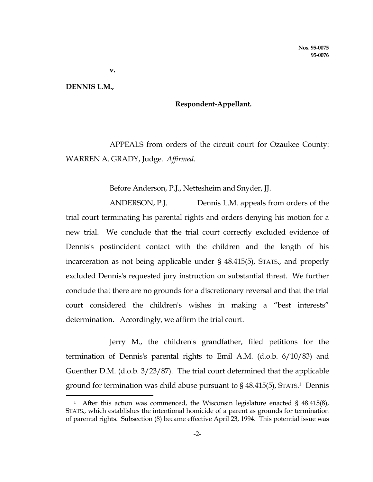v.

### DENNIS L.M.,

i

# Respondent-Appellant.

 APPEALS from orders of the circuit court for Ozaukee County: WARREN A. GRADY, Judge. Affirmed.

Before Anderson, P.J., Nettesheim and Snyder, JJ.

 ANDERSON, P.J. Dennis L.M. appeals from orders of the trial court terminating his parental rights and orders denying his motion for a new trial. We conclude that the trial court correctly excluded evidence of Dennis's postincident contact with the children and the length of his incarceration as not being applicable under § 48.415(5), STATS., and properly excluded Dennis's requested jury instruction on substantial threat. We further conclude that there are no grounds for a discretionary reversal and that the trial court considered the children's wishes in making a "best interests" determination. Accordingly, we affirm the trial court.

 Jerry M., the children's grandfather, filed petitions for the termination of Dennis's parental rights to Emil A.M. (d.o.b. 6/10/83) and Guenther D.M. (d.o.b. 3/23/87). The trial court determined that the applicable ground for termination was child abuse pursuant to § 48.415(5), STATS. <sup>1</sup> Dennis

<sup>1</sup> After this action was commenced, the Wisconsin legislature enacted § 48.415(8), STATS., which establishes the intentional homicide of a parent as grounds for termination of parental rights. Subsection (8) became effective April 23, 1994. This potential issue was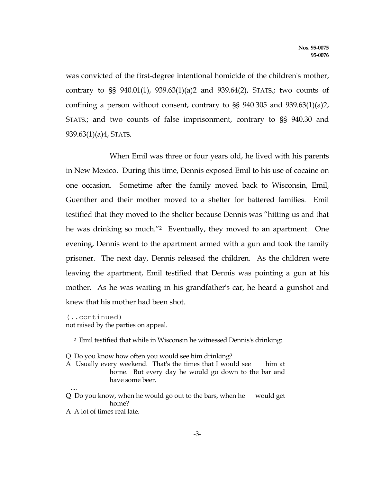was convicted of the first-degree intentional homicide of the children's mother, contrary to §§ 940.01(1), 939.63(1)(a)2 and 939.64(2), STATS.; two counts of confining a person without consent, contrary to §§ 940.305 and 939.63(1)(a)2, STATS.; and two counts of false imprisonment, contrary to §§ 940.30 and 939.63(1)(a)4, STATS.

 When Emil was three or four years old, he lived with his parents in New Mexico. During this time, Dennis exposed Emil to his use of cocaine on one occasion. Sometime after the family moved back to Wisconsin, Emil, Guenther and their mother moved to a shelter for battered families. Emil testified that they moved to the shelter because Dennis was "hitting us and that he was drinking so much.<sup>"2</sup> Eventually, they moved to an apartment. One evening, Dennis went to the apartment armed with a gun and took the family prisoner. The next day, Dennis released the children. As the children were leaving the apartment, Emil testified that Dennis was pointing a gun at his mother. As he was waiting in his grandfather's car, he heard a gunshot and knew that his mother had been shot.

(..continued) not raised by the parties on appeal.

<sup>2</sup> Emil testified that while in Wisconsin he witnessed Dennis's drinking:

Q Do you know how often you would see him drinking?

- A Usually every weekend. That's the times that I would see him at home. But every day he would go down to the bar and have some beer.
- Q Do you know, when he would go out to the bars, when he would get home?
- A A lot of times real late.

....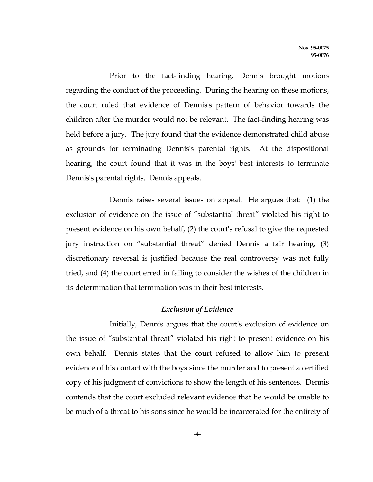Prior to the fact-finding hearing, Dennis brought motions regarding the conduct of the proceeding. During the hearing on these motions, the court ruled that evidence of Dennis's pattern of behavior towards the children after the murder would not be relevant. The fact-finding hearing was held before a jury. The jury found that the evidence demonstrated child abuse as grounds for terminating Dennis's parental rights. At the dispositional hearing, the court found that it was in the boys' best interests to terminate Dennis's parental rights. Dennis appeals.

 Dennis raises several issues on appeal. He argues that: (1) the exclusion of evidence on the issue of "substantial threat" violated his right to present evidence on his own behalf, (2) the court's refusal to give the requested jury instruction on "substantial threat" denied Dennis a fair hearing, (3) discretionary reversal is justified because the real controversy was not fully tried, and (4) the court erred in failing to consider the wishes of the children in its determination that termination was in their best interests.

## Exclusion of Evidence

 Initially, Dennis argues that the court's exclusion of evidence on the issue of "substantial threat" violated his right to present evidence on his own behalf. Dennis states that the court refused to allow him to present evidence of his contact with the boys since the murder and to present a certified copy of his judgment of convictions to show the length of his sentences. Dennis contends that the court excluded relevant evidence that he would be unable to be much of a threat to his sons since he would be incarcerated for the entirety of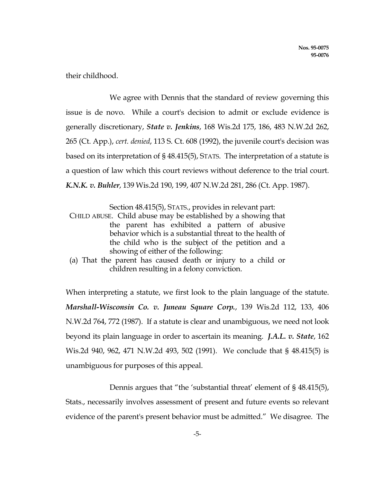their childhood.

 We agree with Dennis that the standard of review governing this issue is de novo. While a court's decision to admit or exclude evidence is generally discretionary, State v. Jenkins, 168 Wis.2d 175, 186, 483 N.W.2d 262, 265 (Ct. App.), cert. denied, 113 S. Ct. 608 (1992), the juvenile court's decision was based on its interpretation of § 48.415(5), STATS. The interpretation of a statute is a question of law which this court reviews without deference to the trial court. K.N.K. v. Buhler, 139 Wis.2d 190, 199, 407 N.W.2d 281, 286 (Ct. App. 1987).

Section 48.415(5), STATS., provides in relevant part:

 CHILD ABUSE. Child abuse may be established by a showing that the parent has exhibited a pattern of abusive behavior which is a substantial threat to the health of the child who is the subject of the petition and a showing of either of the following:

 (a) That the parent has caused death or injury to a child or children resulting in a felony conviction.

When interpreting a statute, we first look to the plain language of the statute. Marshall-Wisconsin Co. v. Juneau Square Corp., 139 Wis.2d 112, 133, 406 N.W.2d 764, 772 (1987). If a statute is clear and unambiguous, we need not look beyond its plain language in order to ascertain its meaning. J.A.L. v. State, 162 Wis.2d 940, 962, 471 N.W.2d 493, 502 (1991). We conclude that § 48.415(5) is unambiguous for purposes of this appeal.

Dennis argues that "the 'substantial threat' element of §48.415(5), Stats., necessarily involves assessment of present and future events so relevant evidence of the parent's present behavior must be admitted." We disagree. The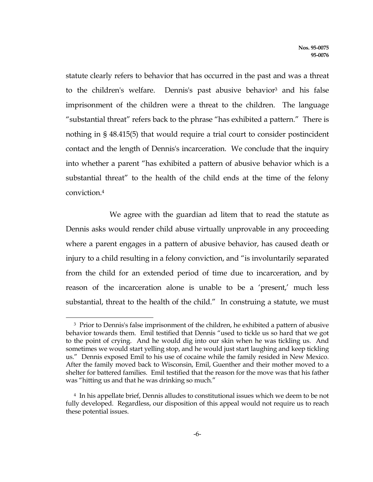statute clearly refers to behavior that has occurred in the past and was a threat to the children's welfare. Dennis's past abusive behavior<sup>3</sup> and his false imprisonment of the children were a threat to the children. The language "substantial threat" refers back to the phrase "has exhibited a pattern." There is nothing in § 48.415(5) that would require a trial court to consider postincident contact and the length of Dennis's incarceration. We conclude that the inquiry into whether a parent "has exhibited a pattern of abusive behavior which is a substantial threat" to the health of the child ends at the time of the felony conviction.<sup>4</sup>

 We agree with the guardian ad litem that to read the statute as Dennis asks would render child abuse virtually unprovable in any proceeding where a parent engages in a pattern of abusive behavior, has caused death or injury to a child resulting in a felony conviction, and "is involuntarily separated from the child for an extended period of time due to incarceration, and by reason of the incarceration alone is unable to be a 'present,' much less substantial, threat to the health of the child." In construing a statute, we must

e<br>S

<sup>3</sup> Prior to Dennis's false imprisonment of the children, he exhibited a pattern of abusive behavior towards them. Emil testified that Dennis "used to tickle us so hard that we got to the point of crying. And he would dig into our skin when he was tickling us. And sometimes we would start yelling stop, and he would just start laughing and keep tickling us." Dennis exposed Emil to his use of cocaine while the family resided in New Mexico. After the family moved back to Wisconsin, Emil, Guenther and their mother moved to a shelter for battered families. Emil testified that the reason for the move was that his father was "hitting us and that he was drinking so much."

<sup>4</sup> In his appellate brief, Dennis alludes to constitutional issues which we deem to be not fully developed. Regardless, our disposition of this appeal would not require us to reach these potential issues.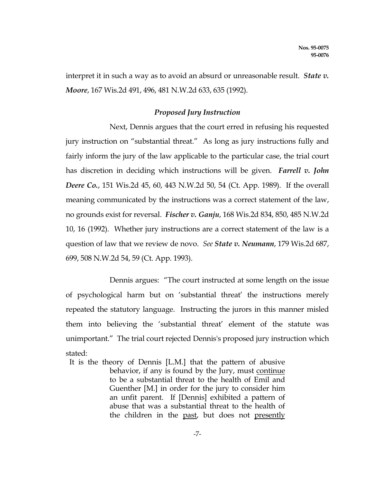interpret it in such a way as to avoid an absurd or unreasonable result. *State v*. Moore, 167 Wis.2d 491, 496, 481 N.W.2d 633, 635 (1992).

# Proposed Jury Instruction

 Next, Dennis argues that the court erred in refusing his requested jury instruction on "substantial threat." As long as jury instructions fully and fairly inform the jury of the law applicable to the particular case, the trial court has discretion in deciding which instructions will be given. Farrell v. John Deere Co., 151 Wis.2d 45, 60, 443 N.W.2d 50, 54 (Ct. App. 1989). If the overall meaning communicated by the instructions was a correct statement of the law, no grounds exist for reversal. Fischer v. Ganju, 168 Wis.2d 834, 850, 485 N.W.2d 10, 16 (1992). Whether jury instructions are a correct statement of the law is a question of law that we review de novo. See State v. Neumann, 179 Wis.2d 687, 699, 508 N.W.2d 54, 59 (Ct. App. 1993).

 Dennis argues: "The court instructed at some length on the issue of psychological harm but on 'substantial threat' the instructions merely repeated the statutory language. Instructing the jurors in this manner misled them into believing the 'substantial threat' element of the statute was unimportant." The trial court rejected Dennis's proposed jury instruction which stated:

 It is the theory of Dennis [L.M.] that the pattern of abusive behavior, if any is found by the Jury, must continue to be a substantial threat to the health of Emil and Guenther [M.] in order for the jury to consider him an unfit parent. If [Dennis] exhibited a pattern of abuse that was a substantial threat to the health of the children in the past, but does not presently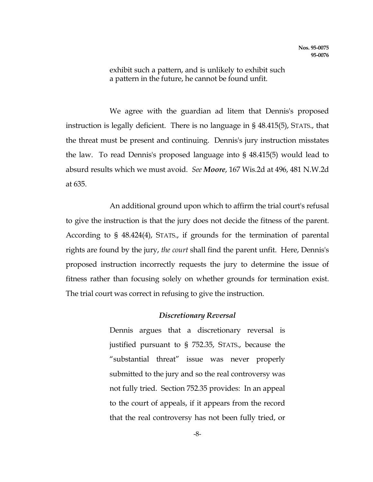exhibit such a pattern, and is unlikely to exhibit such a pattern in the future, he cannot be found unfit.

 We agree with the guardian ad litem that Dennis's proposed instruction is legally deficient. There is no language in § 48.415(5), STATS., that the threat must be present and continuing. Dennis's jury instruction misstates the law. To read Dennis's proposed language into § 48.415(5) would lead to absurd results which we must avoid. See Moore, 167 Wis.2d at 496, 481 N.W.2d at 635.

 An additional ground upon which to affirm the trial court's refusal to give the instruction is that the jury does not decide the fitness of the parent. According to § 48.424(4), STATS., if grounds for the termination of parental rights are found by the jury, the court shall find the parent unfit. Here, Dennis's proposed instruction incorrectly requests the jury to determine the issue of fitness rather than focusing solely on whether grounds for termination exist. The trial court was correct in refusing to give the instruction.

## Discretionary Reversal

 Dennis argues that a discretionary reversal is justified pursuant to § 752.35, STATS., because the "substantial threat" issue was never properly submitted to the jury and so the real controversy was not fully tried. Section 752.35 provides: In an appeal to the court of appeals, if it appears from the record that the real controversy has not been fully tried, or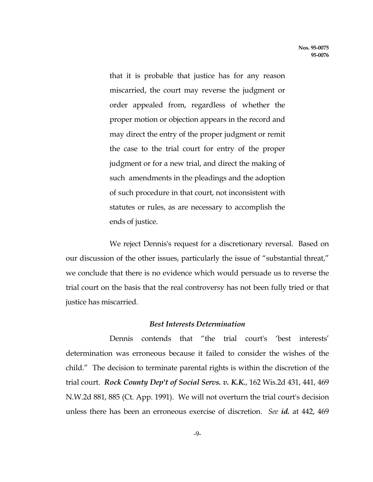that it is probable that justice has for any reason miscarried, the court may reverse the judgment or order appealed from, regardless of whether the proper motion or objection appears in the record and may direct the entry of the proper judgment or remit the case to the trial court for entry of the proper judgment or for a new trial, and direct the making of such amendments in the pleadings and the adoption of such procedure in that court, not inconsistent with statutes or rules, as are necessary to accomplish the ends of justice.

 We reject Dennis's request for a discretionary reversal. Based on our discussion of the other issues, particularly the issue of "substantial threat," we conclude that there is no evidence which would persuade us to reverse the trial court on the basis that the real controversy has not been fully tried or that justice has miscarried.

# Best Interests Determination

 Dennis contends that "the trial court's 'best interests' determination was erroneous because it failed to consider the wishes of the child." The decision to terminate parental rights is within the discretion of the trial court. Rock County Dep't of Social Servs. v. K.K., 162 Wis.2d 431, 441, 469 N.W.2d 881, 885 (Ct. App. 1991). We will not overturn the trial court's decision unless there has been an erroneous exercise of discretion. See id. at 442, 469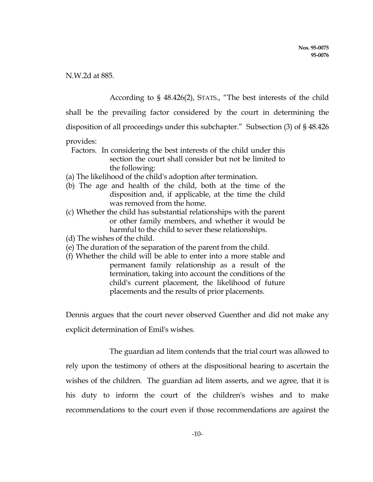N.W.2d at 885.

According to § 48.426(2), STATS., "The best interests of the child

shall be the prevailing factor considered by the court in determining the

disposition of all proceedings under this subchapter." Subsection (3) of § 48.426

# provides:

- Factors. In considering the best interests of the child under this section the court shall consider but not be limited to the following:
- (a) The likelihood of the child's adoption after termination.
- (b) The age and health of the child, both at the time of the disposition and, if applicable, at the time the child was removed from the home.
- (c) Whether the child has substantial relationships with the parent or other family members, and whether it would be harmful to the child to sever these relationships.
- (d) The wishes of the child.
- (e) The duration of the separation of the parent from the child.
- (f) Whether the child will be able to enter into a more stable and permanent family relationship as a result of the termination, taking into account the conditions of the child's current placement, the likelihood of future placements and the results of prior placements.

Dennis argues that the court never observed Guenther and did not make any explicit determination of Emil's wishes.

 The guardian ad litem contends that the trial court was allowed to rely upon the testimony of others at the dispositional hearing to ascertain the wishes of the children. The guardian ad litem asserts, and we agree, that it is his duty to inform the court of the children's wishes and to make recommendations to the court even if those recommendations are against the